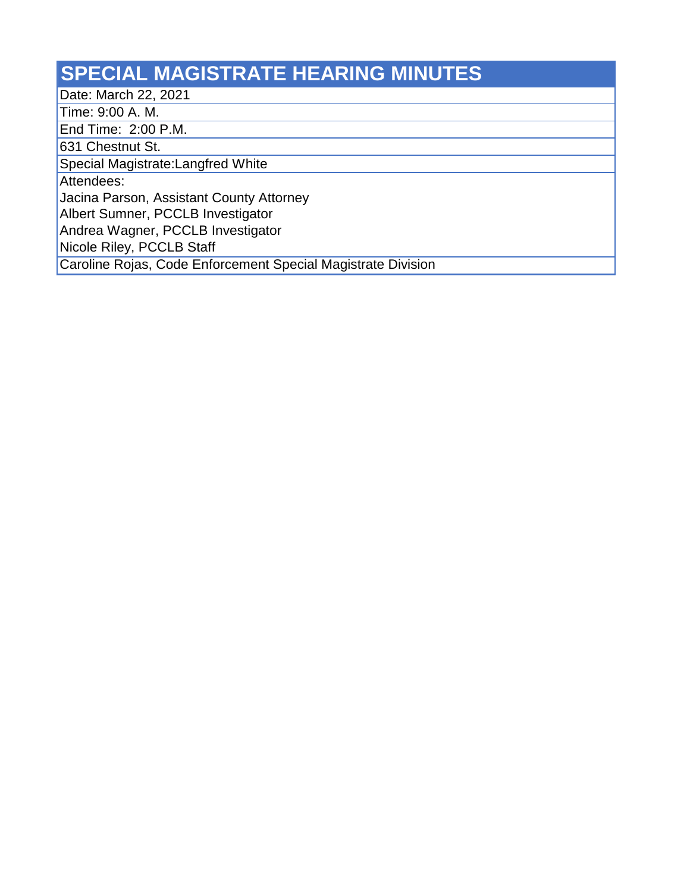## **SPECIAL MAGISTRATE HEARING MINUTES**

Date: March 22, 2021

Time: 9:00 A. M.

End Time: 2:00 P.M.

631 Chestnut St.

Special Magistrate:Langfred White

Attendees:

Jacina Parson, Assistant County Attorney

Albert Sumner, PCCLB Investigator

Andrea Wagner, PCCLB Investigator

Nicole Riley, PCCLB Staff

Caroline Rojas, Code Enforcement Special Magistrate Division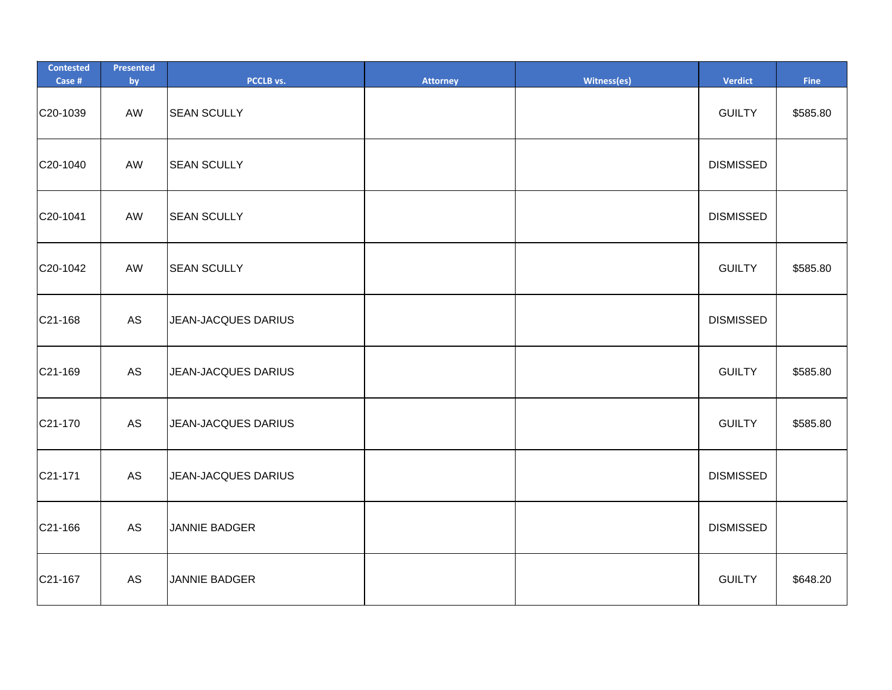| <b>Contested</b><br>Case # | Presented<br>by | PCCLB vs.            | <b>Attorney</b> | Witness(es) | Verdict          | Fine     |
|----------------------------|-----------------|----------------------|-----------------|-------------|------------------|----------|
| C20-1039                   | AW              | <b>SEAN SCULLY</b>   |                 |             | <b>GUILTY</b>    | \$585.80 |
| C20-1040                   | AW              | <b>SEAN SCULLY</b>   |                 |             | <b>DISMISSED</b> |          |
| C20-1041                   | AW              | <b>SEAN SCULLY</b>   |                 |             | <b>DISMISSED</b> |          |
| C20-1042                   | AW              | <b>SEAN SCULLY</b>   |                 |             | <b>GUILTY</b>    | \$585.80 |
| C21-168                    | AS              | JEAN-JACQUES DARIUS  |                 |             | <b>DISMISSED</b> |          |
| C21-169                    | AS              | JEAN-JACQUES DARIUS  |                 |             | <b>GUILTY</b>    | \$585.80 |
| C21-170                    | AS              | JEAN-JACQUES DARIUS  |                 |             | <b>GUILTY</b>    | \$585.80 |
| C21-171                    | AS              | JEAN-JACQUES DARIUS  |                 |             | <b>DISMISSED</b> |          |
| C21-166                    | AS              | <b>JANNIE BADGER</b> |                 |             | <b>DISMISSED</b> |          |
| C21-167                    | AS              | <b>JANNIE BADGER</b> |                 |             | <b>GUILTY</b>    | \$648.20 |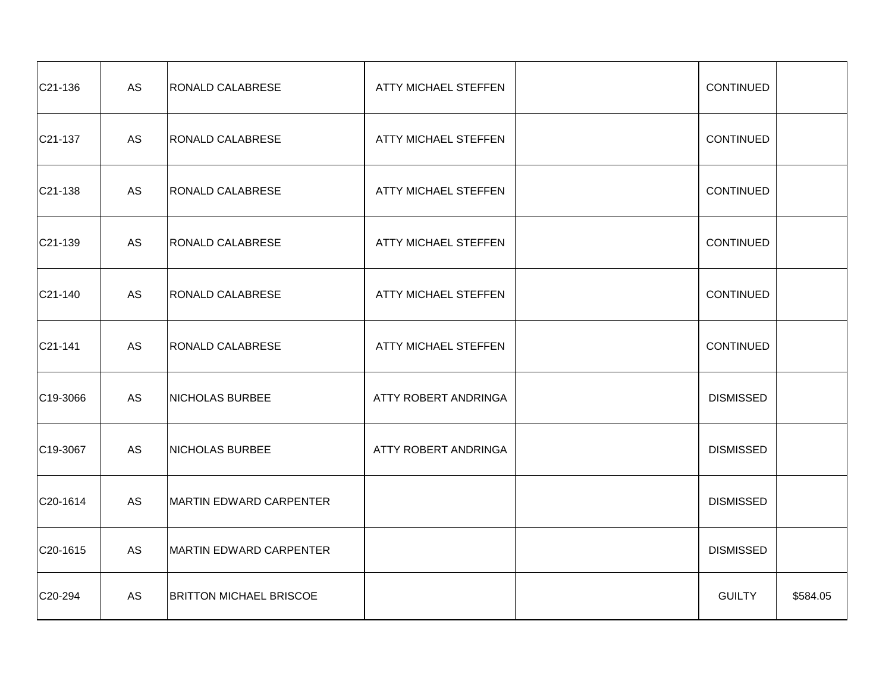| C21-136               | AS | <b>RONALD CALABRESE</b>        | ATTY MICHAEL STEFFEN | <b>CONTINUED</b> |          |
|-----------------------|----|--------------------------------|----------------------|------------------|----------|
| C21-137               | AS | <b>RONALD CALABRESE</b>        | ATTY MICHAEL STEFFEN | <b>CONTINUED</b> |          |
| C21-138               | AS | <b>RONALD CALABRESE</b>        | ATTY MICHAEL STEFFEN | <b>CONTINUED</b> |          |
| $C21-139$             | AS | <b>RONALD CALABRESE</b>        | ATTY MICHAEL STEFFEN | <b>CONTINUED</b> |          |
| $C21-140$             | AS | RONALD CALABRESE               | ATTY MICHAEL STEFFEN | <b>CONTINUED</b> |          |
| $C21-141$             | AS | <b>RONALD CALABRESE</b>        | ATTY MICHAEL STEFFEN | <b>CONTINUED</b> |          |
| C <sub>19</sub> -3066 | AS | <b>NICHOLAS BURBEE</b>         | ATTY ROBERT ANDRINGA | <b>DISMISSED</b> |          |
| $C19-3067$            | AS | NICHOLAS BURBEE                | ATTY ROBERT ANDRINGA | <b>DISMISSED</b> |          |
| C20-1614              | AS | MARTIN EDWARD CARPENTER        |                      | <b>DISMISSED</b> |          |
| C20-1615              | AS | MARTIN EDWARD CARPENTER        |                      | <b>DISMISSED</b> |          |
| C20-294               | AS | <b>BRITTON MICHAEL BRISCOE</b> |                      | <b>GUILTY</b>    | \$584.05 |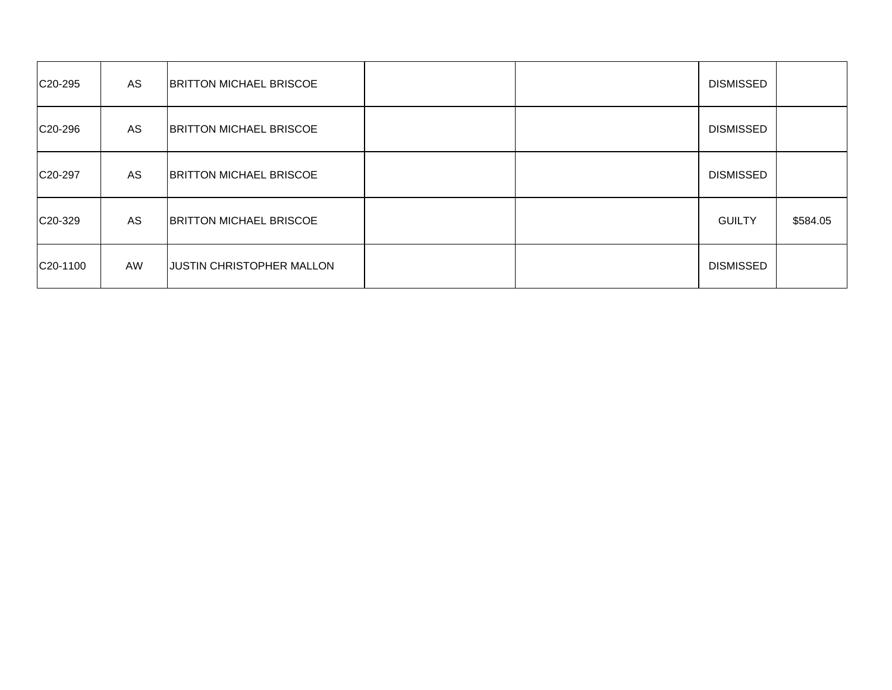| C <sub>20</sub> -295 | AS | <b>BRITTON MICHAEL BRISCOE</b>   |  | <b>DISMISSED</b> |          |
|----------------------|----|----------------------------------|--|------------------|----------|
| C <sub>20</sub> -296 | AS | <b>BRITTON MICHAEL BRISCOE</b>   |  | <b>DISMISSED</b> |          |
| C <sub>20</sub> -297 | AS | <b>BRITTON MICHAEL BRISCOE</b>   |  | <b>DISMISSED</b> |          |
| C20-329              | AS | <b>BRITTON MICHAEL BRISCOE</b>   |  | <b>GUILTY</b>    | \$584.05 |
| C20-1100             | AW | <b>JUSTIN CHRISTOPHER MALLON</b> |  | <b>DISMISSED</b> |          |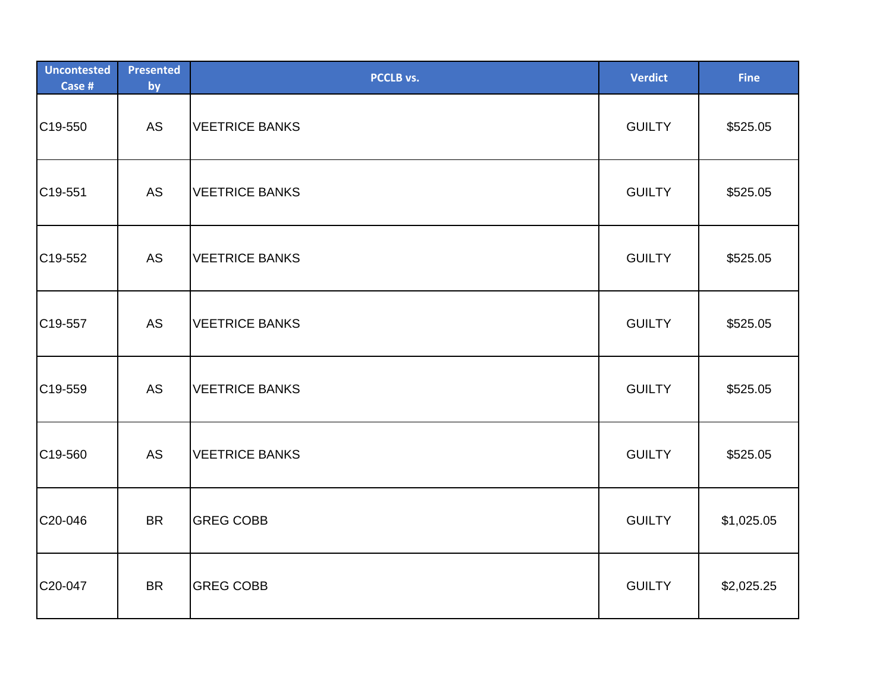| <b>Uncontested</b><br>Case # | <b>Presented</b><br>by | PCCLB vs.             | <b>Verdict</b> | <b>Fine</b> |
|------------------------------|------------------------|-----------------------|----------------|-------------|
| C19-550                      | <b>AS</b>              | <b>VEETRICE BANKS</b> | <b>GUILTY</b>  | \$525.05    |
| C19-551                      | <b>AS</b>              | <b>VEETRICE BANKS</b> | <b>GUILTY</b>  | \$525.05    |
| C19-552                      | <b>AS</b>              | <b>VEETRICE BANKS</b> | <b>GUILTY</b>  | \$525.05    |
| C19-557                      | <b>AS</b>              | <b>VEETRICE BANKS</b> | <b>GUILTY</b>  | \$525.05    |
| C19-559                      | AS                     | <b>VEETRICE BANKS</b> | <b>GUILTY</b>  | \$525.05    |
| C19-560                      | AS                     | <b>VEETRICE BANKS</b> | <b>GUILTY</b>  | \$525.05    |
| C20-046                      | <b>BR</b>              | <b>GREG COBB</b>      | <b>GUILTY</b>  | \$1,025.05  |
| C20-047                      | <b>BR</b>              | <b>GREG COBB</b>      | <b>GUILTY</b>  | \$2,025.25  |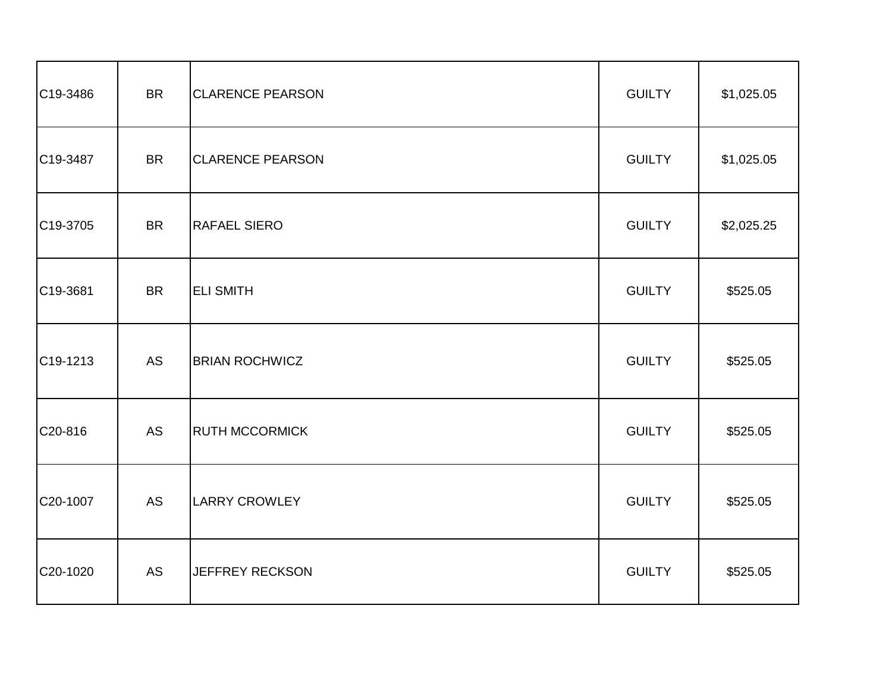| C19-3486 | <b>BR</b> | <b>CLARENCE PEARSON</b> | <b>GUILTY</b> | \$1,025.05 |
|----------|-----------|-------------------------|---------------|------------|
| C19-3487 | <b>BR</b> | <b>CLARENCE PEARSON</b> | <b>GUILTY</b> | \$1,025.05 |
| C19-3705 | <b>BR</b> | <b>RAFAEL SIERO</b>     | <b>GUILTY</b> | \$2,025.25 |
| C19-3681 | <b>BR</b> | <b>ELI SMITH</b>        | <b>GUILTY</b> | \$525.05   |
| C19-1213 | <b>AS</b> | <b>BRIAN ROCHWICZ</b>   | <b>GUILTY</b> | \$525.05   |
| C20-816  | <b>AS</b> | <b>RUTH MCCORMICK</b>   | <b>GUILTY</b> | \$525.05   |
| C20-1007 | <b>AS</b> | <b>LARRY CROWLEY</b>    | <b>GUILTY</b> | \$525.05   |
| C20-1020 | AS        | <b>JEFFREY RECKSON</b>  | <b>GUILTY</b> | \$525.05   |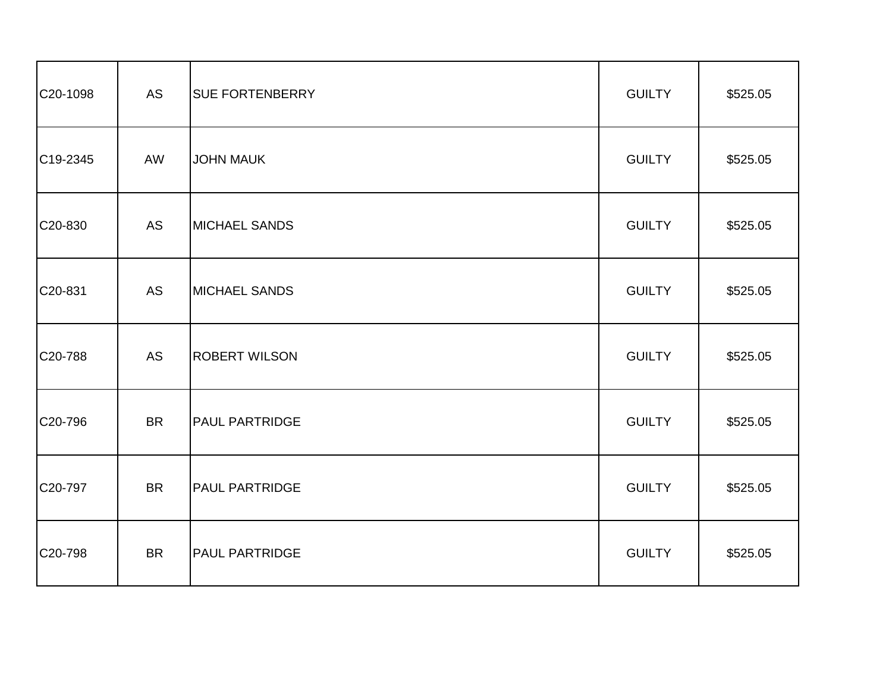| C20-1098              | <b>AS</b> | <b>SUE FORTENBERRY</b> | <b>GUILTY</b> | \$525.05 |
|-----------------------|-----------|------------------------|---------------|----------|
| C <sub>19</sub> -2345 | AW        | <b>JOHN MAUK</b>       | <b>GUILTY</b> | \$525.05 |
| C20-830               | <b>AS</b> | <b>MICHAEL SANDS</b>   | <b>GUILTY</b> | \$525.05 |
| C20-831               | <b>AS</b> | <b>MICHAEL SANDS</b>   | <b>GUILTY</b> | \$525.05 |
| C20-788               | AS        | <b>ROBERT WILSON</b>   | <b>GUILTY</b> | \$525.05 |
| C20-796               | <b>BR</b> | <b>PAUL PARTRIDGE</b>  | <b>GUILTY</b> | \$525.05 |
| C20-797               | <b>BR</b> | <b>PAUL PARTRIDGE</b>  | <b>GUILTY</b> | \$525.05 |
| C20-798               | <b>BR</b> | <b>PAUL PARTRIDGE</b>  | <b>GUILTY</b> | \$525.05 |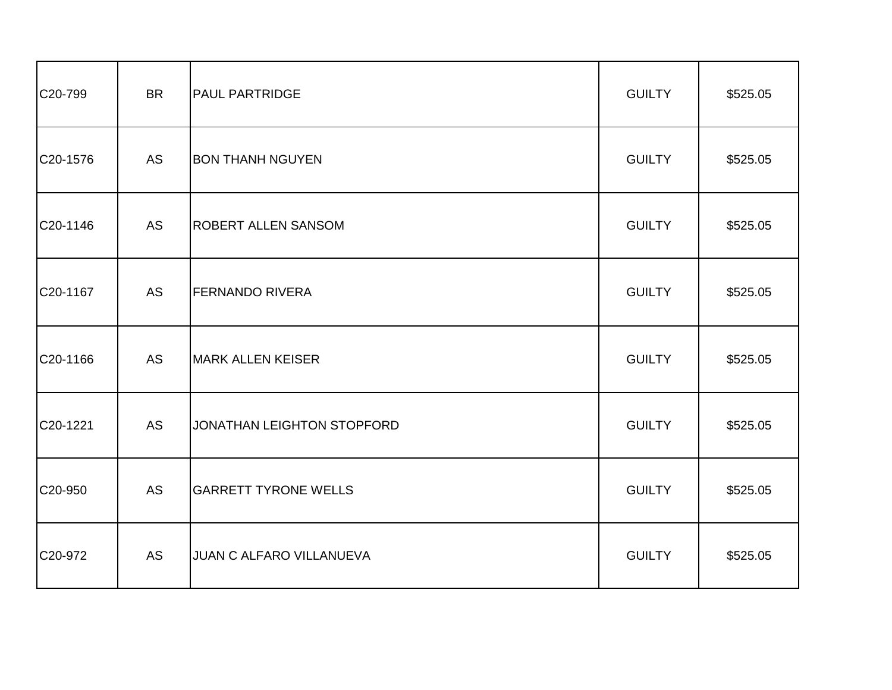| C20-799  | <b>BR</b> | <b>PAUL PARTRIDGE</b>       | <b>GUILTY</b> | \$525.05 |
|----------|-----------|-----------------------------|---------------|----------|
| C20-1576 | AS        | <b>BON THANH NGUYEN</b>     | <b>GUILTY</b> | \$525.05 |
| C20-1146 | AS        | <b>ROBERT ALLEN SANSOM</b>  | <b>GUILTY</b> | \$525.05 |
| C20-1167 | AS        | <b>FERNANDO RIVERA</b>      | <b>GUILTY</b> | \$525.05 |
| C20-1166 | <b>AS</b> | <b>MARK ALLEN KEISER</b>    | <b>GUILTY</b> | \$525.05 |
| C20-1221 | AS        | JONATHAN LEIGHTON STOPFORD  | <b>GUILTY</b> | \$525.05 |
| C20-950  | AS        | <b>GARRETT TYRONE WELLS</b> | <b>GUILTY</b> | \$525.05 |
| C20-972  | AS        | JUAN C ALFARO VILLANUEVA    | <b>GUILTY</b> | \$525.05 |